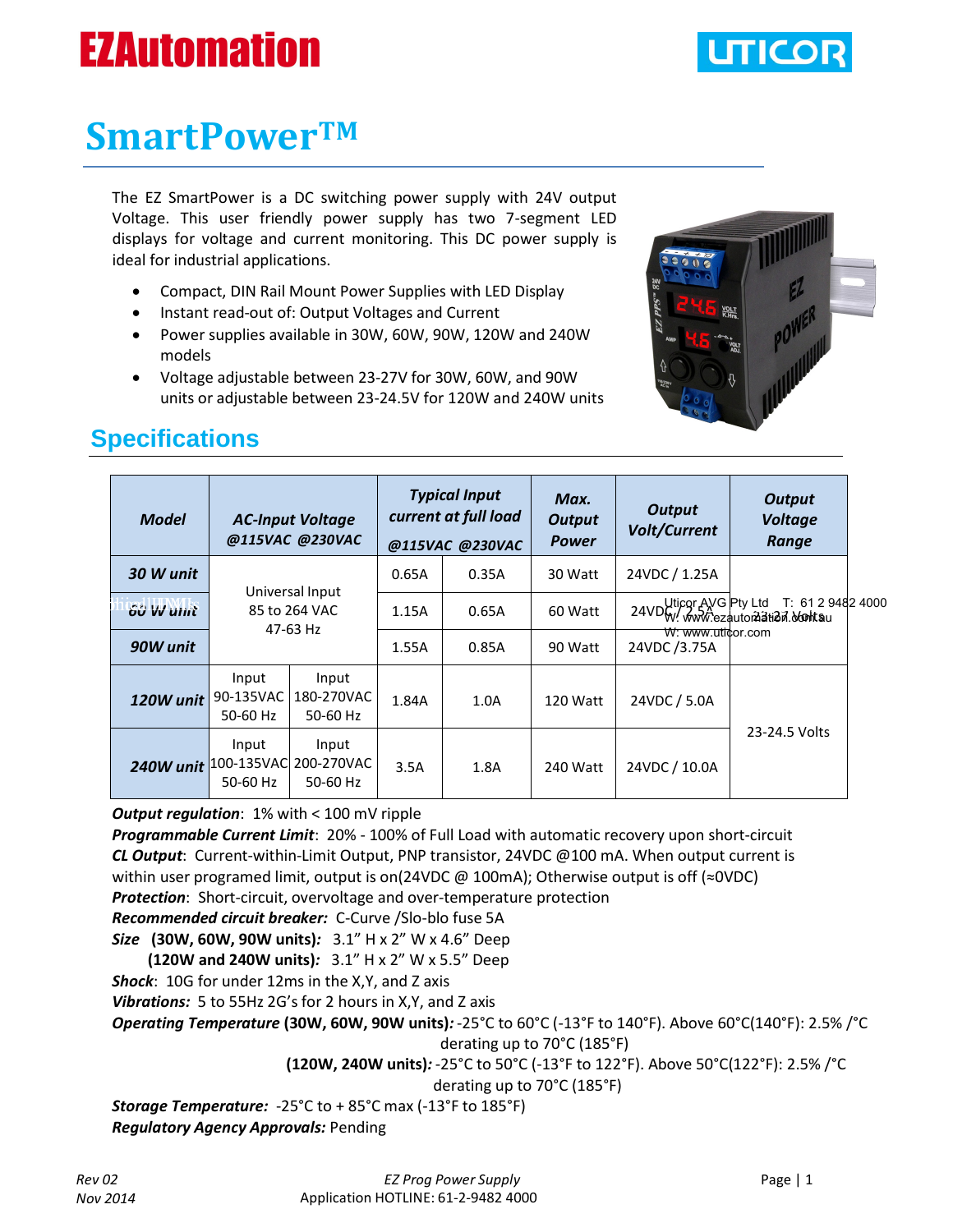# **EZAutomation**



## **SmartPowerTM**

The EZ SmartPower is a DC switching power supply with 24V output Voltage. This user friendly power supply has two 7-segment LED displays for voltage and current monitoring. This DC power supply is ideal for industrial applications.

- Compact, DIN Rail Mount Power Supplies with LED Display
- Instant read-out of: Output Voltages and Current
- Power supplies available in 30W, 60W, 90W, 120W and 240W models
- Voltage adjustable between 23-27V for 30W, 60W, and 90W units or adjustable between 23-24.5V for 120W and 240W units



## **Specifications**

| <b>Model</b> | <b>AC-Input Voltage</b><br>@115VAC @230VAC   |                                            | <b>Typical Input</b><br>current at full load<br>@115VAC @230VAC |       | Max.<br><b>Output</b><br><b>Power</b> | <b>Output</b><br><b>Volt/Current</b> | <b>Output</b><br><b>Voltage</b><br>Range               |  |
|--------------|----------------------------------------------|--------------------------------------------|-----------------------------------------------------------------|-------|---------------------------------------|--------------------------------------|--------------------------------------------------------|--|
| 30 W unit    | Universal Input<br>85 to 264 VAC<br>47-63 Hz |                                            | 0.65A                                                           | 0.35A | 30 Watt                               | 24VDC / 1.25A                        | 24VDW: www.ezautora3tiad7.of 0129<br>T: 61 2 9482 4000 |  |
| 60 W unit    |                                              |                                            | 1.15A                                                           | 0.65A | 60 Watt                               |                                      |                                                        |  |
| 90W unit     |                                              |                                            | 1.55A                                                           | 0.85A | 90 Watt                               | W: www.uticor.com<br>24VDC/3.75A     |                                                        |  |
| 120W unit    | Input<br>90-135VAC<br>50-60 Hz               | Input<br>180-270VAC<br>50-60 Hz            | 1.84A                                                           | 1.0A  | 120 Watt                              | 24VDC / 5.0A                         |                                                        |  |
| 240W unit    | Input<br>50-60 Hz                            | Input<br>100-135VAC 200-270VAC<br>50-60 Hz | 3.5A                                                            | 1.8A  | 240 Watt                              | 24VDC / 10.0A                        | 23-24.5 Volts                                          |  |

*Output regulation:* 1% with < 100 mV ripple

*Programmable Current Limit*: 20% - 100% of Full Load with automatic recovery upon short-circuit *CL Output*: Current-within-Limit Output, PNP transistor, 24VDC @100 mA. When output current is within user programed limit, output is on(24VDC @ 100mA); Otherwise output is off (≈0VDC) *Protection*: Short-circuit, overvoltage and over-temperature protection *Recommended circuit breaker:* C-Curve /Slo-blo fuse 5A

*Size* **(30W, 60W, 90W units)***:* 3.1" H x 2" W x 4.6" Deep

 **(120W and 240W units)***:* 3.1" H x 2" W x 5.5" Deep

*Shock*: 10G for under 12ms in the X,Y, and Z axis

*Vibrations:* 5 to 55Hz 2G's for 2 hours in X,Y, and Z axis

*Operating Temperature* **(30W, 60W, 90W units)***:* -25°C to 60°C (-13°F to 140°F). Above 60°C(140°F): 2.5% /°C

derating up to 70°C (185°F)

**(120W, 240W units)***:* -25°C to 50°C (-13°F to 122°F). Above 50°C(122°F): 2.5% /°C

derating up to 70°C (185°F)

*Storage Temperature:* -25°C to + 85°C max (-13°F to 185°F) *Regulatory Agency Approvals:* Pending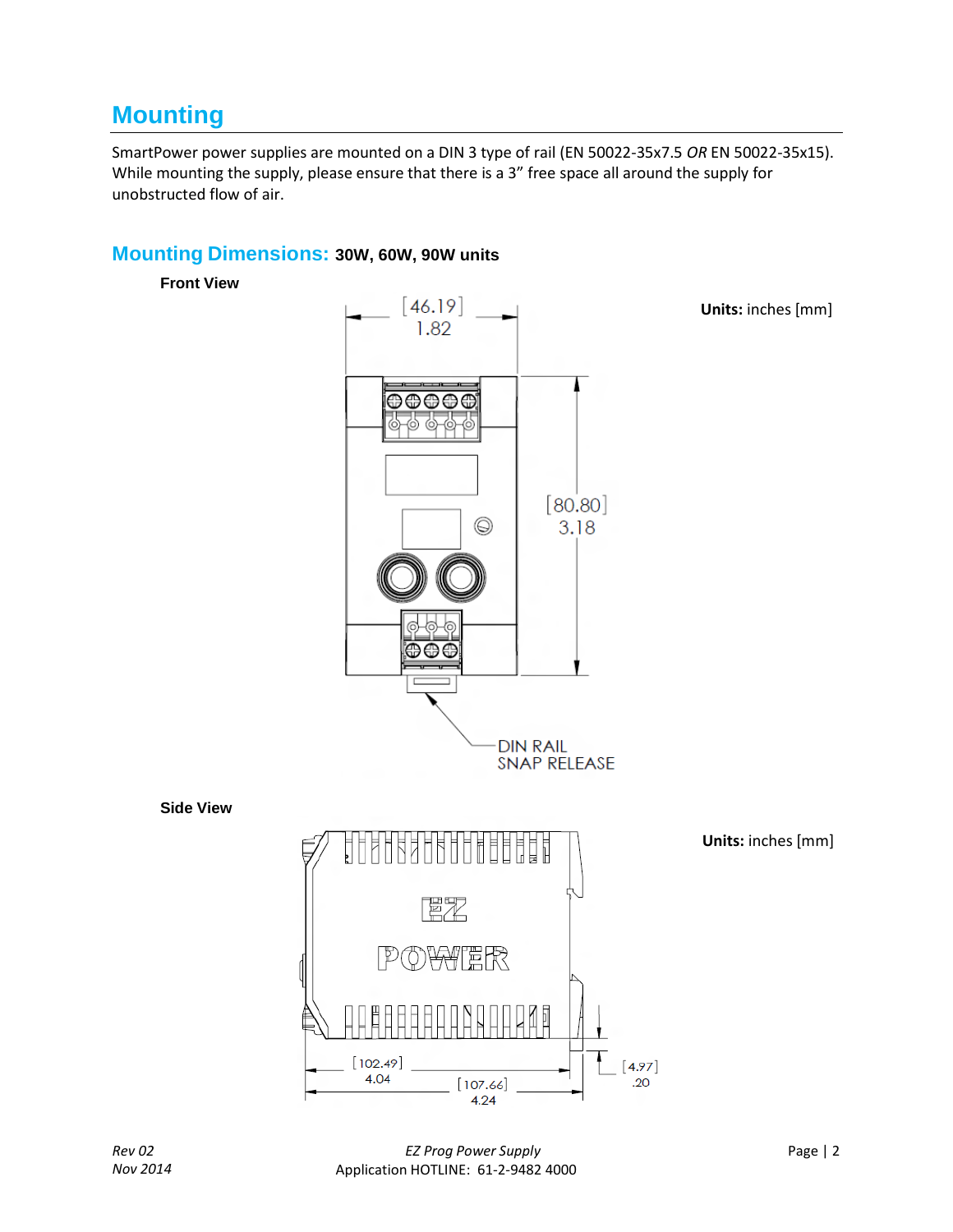## **Mounting**

SmartPower power supplies are mounted on a DIN 3 type of rail (EN 50022-35x7.5 *OR* EN 50022-35x15). While mounting the supply, please ensure that there is a 3" free space all around the supply for unobstructed flow of air.

#### **Mounting Dimensions: 30W, 60W, 90W units**

**Front View**

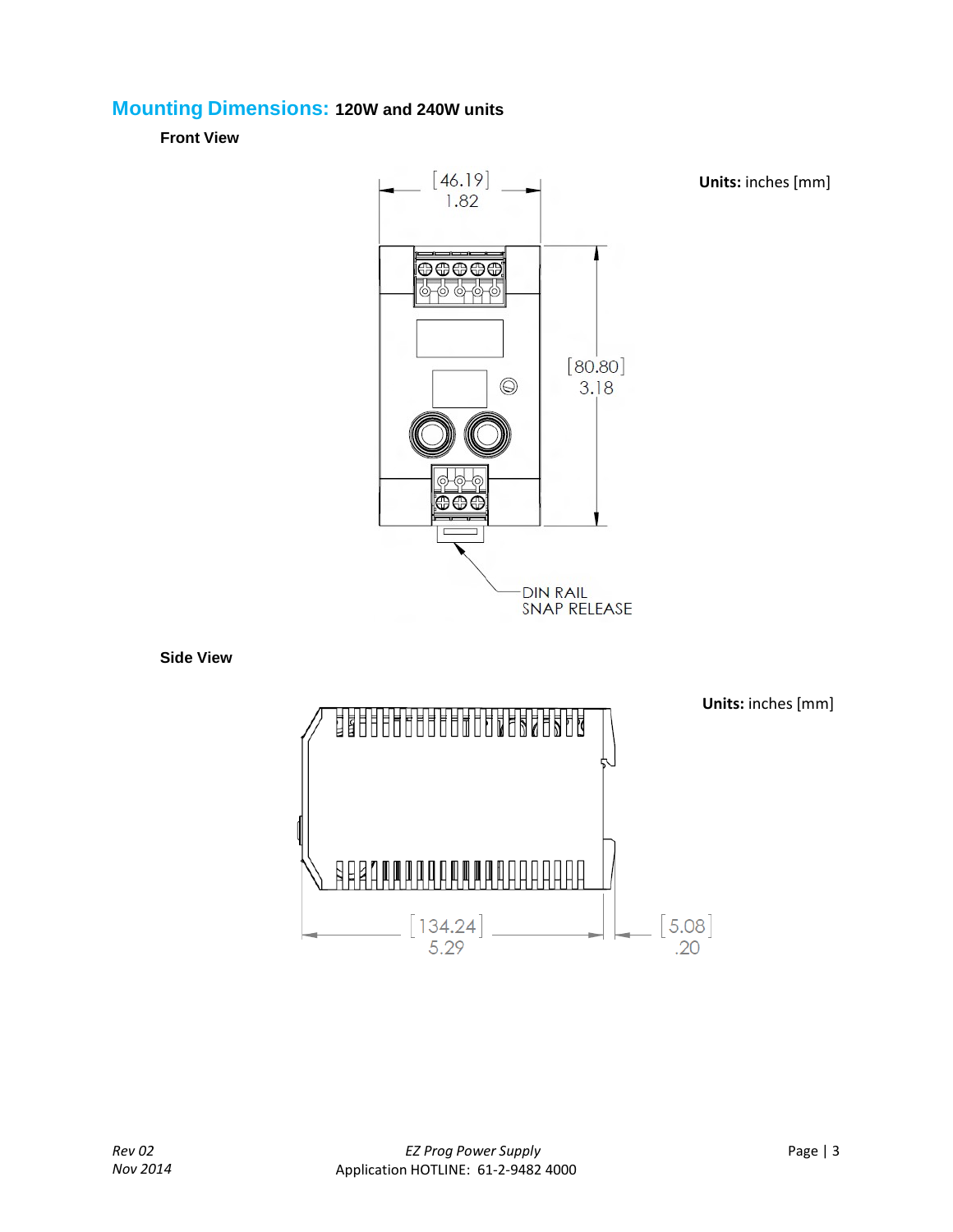#### **Mounting Dimensions: 120W and 240W units**

**Front View**



**Side View**



**Units:** inches [mm]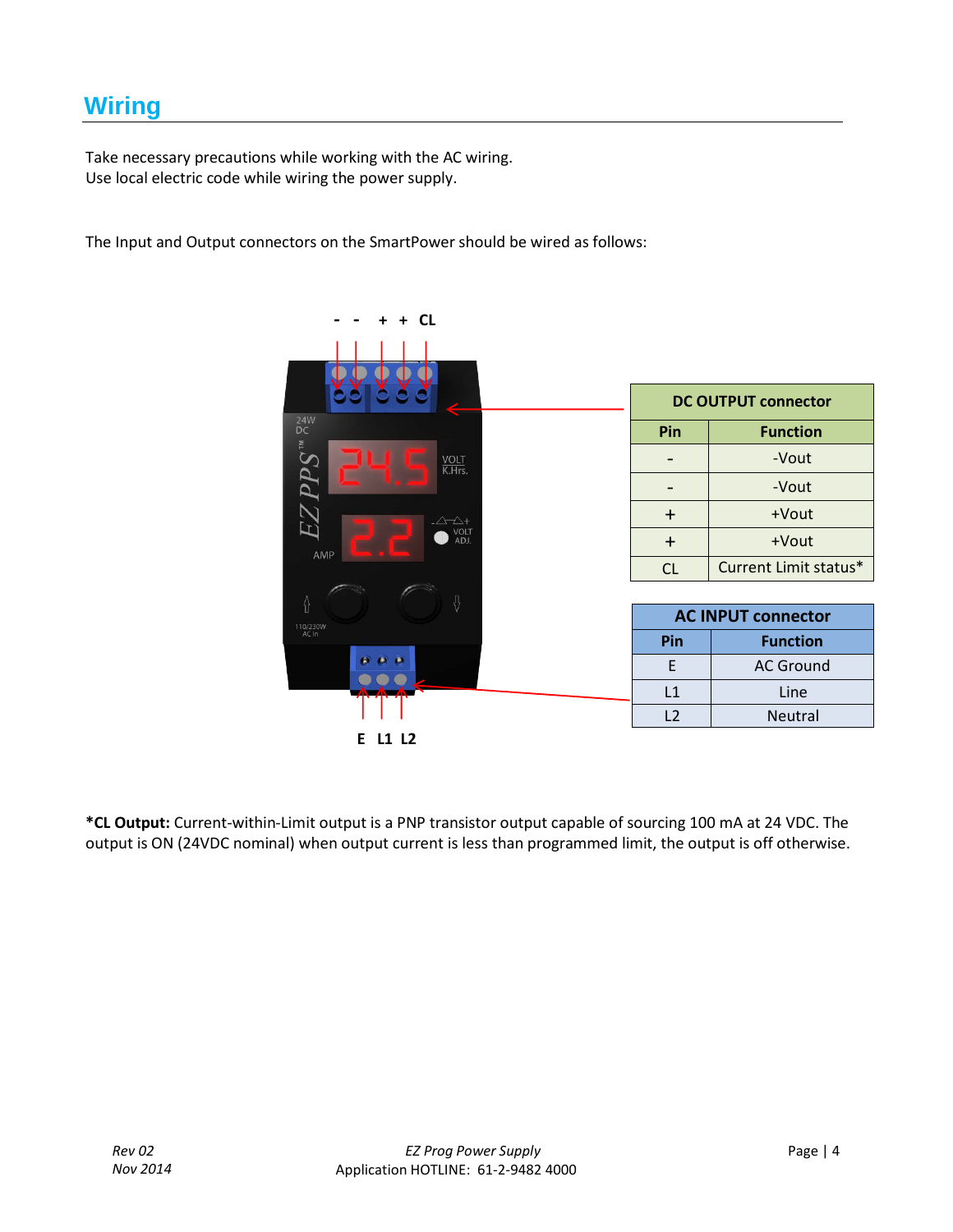## **Wiring**

Take necessary precautions while working with the AC wiring. Use local electric code while wiring the power supply.

The Input and Output connectors on the SmartPower should be wired as follows:

| <b>CL</b>                                       |                |                            |
|-------------------------------------------------|----------------|----------------------------|
|                                                 |                |                            |
|                                                 |                | <b>DC OUTPUT connector</b> |
| $\begin{array}{c} 24W \\ \text{DC} \end{array}$ | Pin            | <b>Function</b>            |
| $EZPPS^{\rm w}$<br>VOLT<br>K.Hrs.               |                | -Vout                      |
|                                                 |                | -Vout                      |
| $-\triangle \triangle +$                        | $\ddot{}$      | +Vout                      |
| VOLT<br>ADJ.<br>AMP                             | $+$            | +Vout                      |
|                                                 | CL             | Current Limit status*      |
| ⇧<br>0                                          |                |                            |
| 110/230W                                        |                | <b>AC INPUT connector</b>  |
| AC In                                           | Pin            | <b>Function</b>            |
| $\theta$ $\theta$ $\theta$                      | F              | <b>AC Ground</b>           |
|                                                 | L1             | Line                       |
|                                                 | L <sub>2</sub> | Neutral                    |
| L1 L2<br>Е                                      |                |                            |

**\*CL Output:** Current-within-Limit output is a PNP transistor output capable of sourcing 100 mA at 24 VDC. The output is ON (24VDC nominal) when output current is less than programmed limit, the output is off otherwise.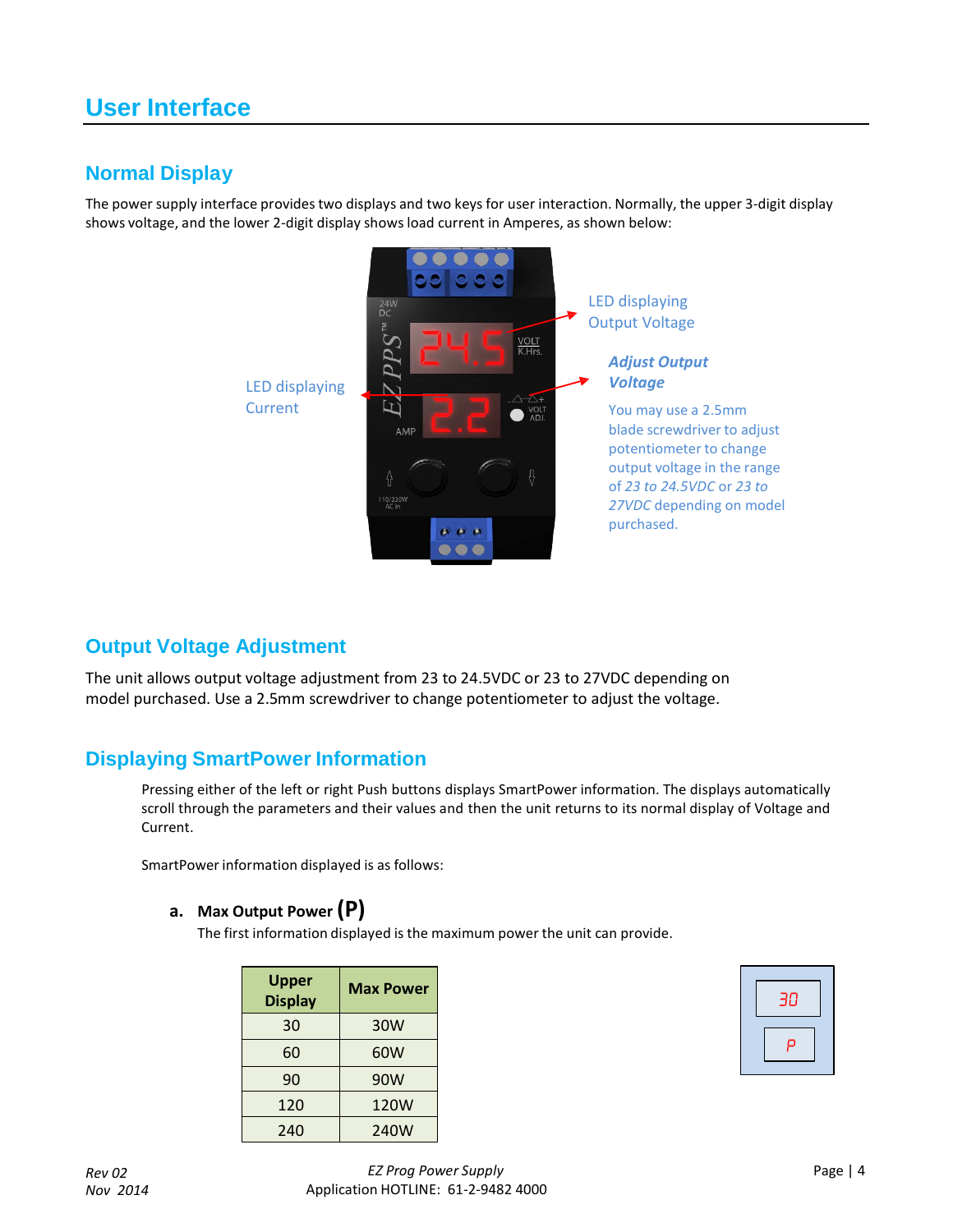## **User Interface**

#### **Normal Display**

The power supply interface provides two displays and two keys for user interaction. Normally, the upper 3-digit display shows voltage, and the lower 2-digit display shows load current in Amperes, as shown below:



#### **Output Voltage Adjustment**

The unit allows output voltage adjustment from 23 to 24.5VDC or 23 to 27VDC depending on model purchased. Use a 2.5mm screwdriver to change potentiometer to adjust the voltage.

#### **Displaying SmartPower Information**

Pressing either of the left or right Push buttons displays SmartPower information. The displays automatically scroll through the parameters and their values and then the unit returns to its normal display of Voltage and Current.

SmartPower information displayed is as follows:

#### **a. Max Output Power (P)**

The first information displayed is the maximum power the unit can provide.

| <b>Upper</b><br><b>Display</b> | <b>Max Power</b> |  |
|--------------------------------|------------------|--|
| 30                             | 30W              |  |
| 60                             | 60W              |  |
| 90                             | 90W              |  |
| 120                            | 120W             |  |
| 240                            | 240W             |  |

| 30 |
|----|
| ρ  |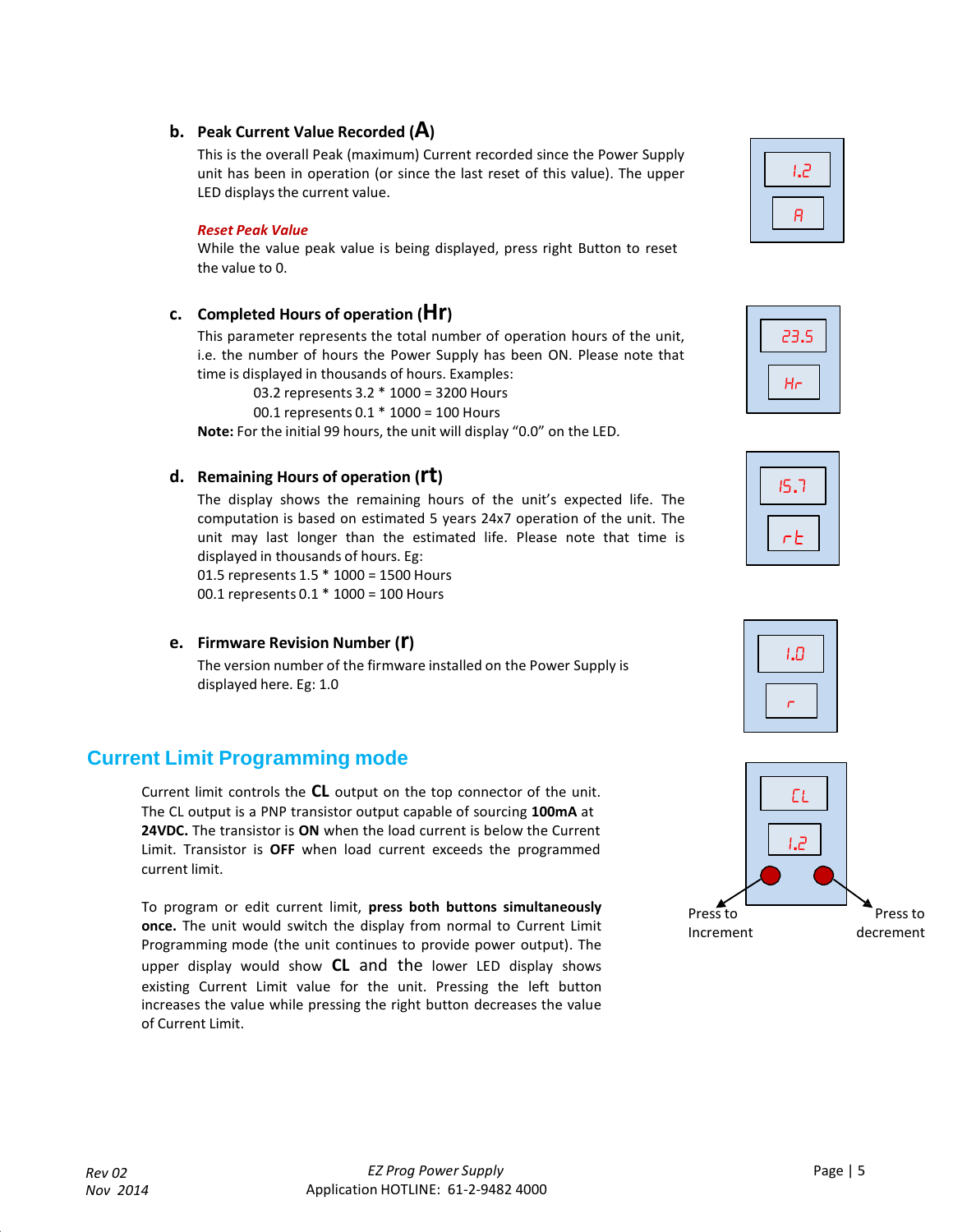#### **b. Peak Current Value Recorded (A)**

This is the overall Peak (maximum) Current recorded since the Power Supply unit has been in operation (or since the last reset of this value). The upper LED displays the current value.

#### *Reset Peak Value*

While the value peak value is being displayed, press right Button to reset the value to 0.

#### **c. Completed Hours of operation (Hr)**

This parameter represents the total number of operation hours of the unit, i.e. the number of hours the Power Supply has been ON. Please note that time is displayed in thousands of hours. Examples:

03.2 represents 3.2 \* 1000 = 3200 Hours

00.1 represents 0.1 \* 1000 = 100 Hours

**Note:** For the initial 99 hours, the unit will display "0.0" on the LED.

#### **d. Remaining Hours of operation (rt)**

The display shows the remaining hours of the unit's expected life. The computation is based on estimated 5 years 24x7 operation of the unit. The unit may last longer than the estimated life. Please note that time is displayed in thousands of hours. Eg:

01.5 represents 1.5 \* 1000 = 1500 Hours 00.1 represents 0.1 \* 1000 = 100 Hours

**e. Firmware Revision Number (r)**

The version number of the firmware installed on the Power Supply is displayed here. Eg: 1.0

#### **Current Limit Programming mode**

Current limit controls the **CL** output on the top connector of the unit. The CL output is a PNP transistor output capable of sourcing **100mA** at **24VDC.** The transistor is **ON** when the load current is below the Current Limit. Transistor is **OFF** when load current exceeds the programmed current limit.

To program or edit current limit, **press both buttons simultaneously once.** The unit would switch the display from normal to Current Limit Programming mode (the unit continues to provide power output). The upper display would show **CL** and the lower LED display shows existing Current Limit value for the unit. Pressing the left button increases the value while pressing the right button decreases the value of Current Limit.